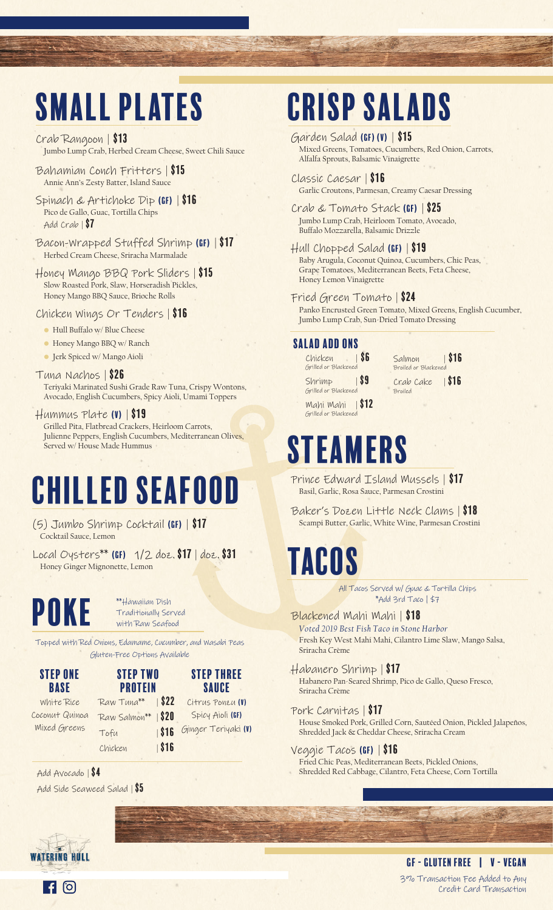# Small plates

Crab Rangoon | \$13 Jumbo Lump Crab, Herbed Cream Cheese, Sweet Chili Sauce

- Bahamian Conch Fritters | \$15 Annie Ann's Zesty Batter, Island Sauce
- Spinach & Artichoke Dip (GF) | \$16 Pico de Gallo, Guac, Tortilla Chips Add Crab | \$7
- Bacon-Wrapped Stuffed Shrimp (GF) | \$17 Herbed Cream Cheese, Sriracha Marmalade
- Honey Mango BBQ Pork Sliders | \$15 Slow Roasted Pork, Slaw, Horseradish Pickles, Honey Mango BBQ Sauce, Brioche Rolls

Chicken Wings Or Tenders | \$16

- Hull Buffalo w/ Blue Cheese
- Honey Mango BBQ w/ Ranch
- Jerk Spiced w/ Mango Aioli
- Tuna Nachos | \$26 Teriyaki Marinated Sushi Grade Raw Tuna, Crispy Wontons, Avocado, English Cucumbers, Spicy Aioli, Umami Toppers
- $H$ ummus Plate (V)  $|$  \$19 Grilled Pita, Flatbread Crackers, Heirloom Carrots, Julienne Peppers, English Cucumbers, Mediterranean Olives, Served w/ House Made Hummus

# Chilled Seafood

(5) Jumbo Shrimp Cocktail (GF) | \$17 Cocktail Sauce, Lemon

Local Oysters\*\* (GF) 1/2 doz. \$17 | doz. \$31 Honey Ginger Mignonette, Lemon

**POKE** *\*\*Hawaiian Pish*<br>Traditionally Ser

Traditionally Served with Raw Seafood

Topped with Red Onions, Edamame, Cucumber, and Wasabi Peas Gluten-Free Options Available

Step one Base

White Rice Coconut Quinoa Mixed Greens

**PROTEIN**  $Raw Tuna**$  | \$22 Raw Salmon\*\* | \$20

Chicken | \$16

Step two Tofu | \$16 Step Three Sauce Citrus Ponzu (V) Spicy Aioli (GF) Ginger Teriyaki (V)

Add Avocado | \$4 Add Side Seaweed Salad | \$5

# Crisp Salads

- Garden Salad (Gf) (V) | \$15 Mixed Greens, Tomatoes, Cucumbers, Red Onion, Carrots, Alfalfa Sprouts, Balsamic Vinaigrette
- Classic Caesar | \$16 Garlic Croutons, Parmesan, Creamy Caesar Dressing
- Crab & Tomato Stack (Gf) | \$25 Jumbo Lump Crab, Heirloom Tomato, Avocado, Buffalo Mozzarella, Balsamic Drizzle
- Hull Chopped Salad (Gf) | \$19 Baby Arugula, Coconut Quinoa, Cucumbers, Chic Peas, Grape Tomatoes, Mediterranean Beets, Feta Cheese, Honey Lemon Vinaigrette
- Fried Green Tomato | \$24 Panko Encrusted Green Tomato, Mixed Greens, English Cucumber, Jumbo Lump Crab, Sun-Dried Tomato Dressing

#### Salad Add Ons

 $Chicken$   $86$ Grilled or Blackene  $Shrimp$  | \$9 Grilled or Blackened Mahi Mahi | \$12 Salmon | \$16 Broiled or Blacker

Crab Cake | \$16 Broiled

### Steamers Grilled or Blackened

- Prince Edward Island Mussels | \$17 Basil, Garlic, Rosa Sauce, Parmesan Crostini
- Baker's Dozen Little Neck Clams | \$18 Scampi Butter, Garlic, White Wine, Parmesan Crostini

### **TACOS**

All Tacos Served w/ Guac & Tortilla Chips \*Add 3rd Taco | \$7

- Blackened Mahi Mahi | \$18 *Voted 2019 Best Fish Taco in Stone Harbor* Fresh Key West Mahi Mahi, Cilantro Lime Slaw, Mango Salsa, Sriracha Crème
- Habanero Shrimp | \$17 Habanero Pan-Seared Shrimp, Pico de Gallo, Queso Fresco, Sriracha Crème
- Pork Carnitas | \$17 House Smoked Pork, Grilled Corn, Sautéed Onion, Pickled Jalapeños, Shredded Jack & Cheddar Cheese, Sriracha Cream
- Veggie Tacos (GF) | \$16 Fried Chic Peas, Mediterranean Beets, Pickled Onions, Shredded Red Cabbage, Cilantro, Feta Cheese, Corn Tortilla

#### 3% Transaction Fee Added to Any Credit Card Transaction GF - Gluten Free | V - Vegan

**WATERING HULL**